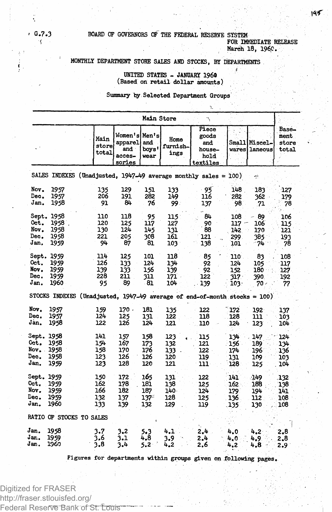**G.7.3 BOARD OF GOVERNORS OF THE FEDERAL RESERVE SYSTEM FOR IMMEDIATE RELEASE** 

**March 18, I960.**

# **MONTHLY DEPARTMENT STORE SALES AND STOCKS, BY DEPARTMENTS**

### **UNITED STATES - JANUARY I960 (Based on retail dollar amounts)**

### **Summary by Selected Department Groups**

|                                            | Main Store<br>٦                            |                                                                             |                                                     |                                     |                                     |                                                     |                                   |                                            |                                 |  |
|--------------------------------------------|--------------------------------------------|-----------------------------------------------------------------------------|-----------------------------------------------------|-------------------------------------|-------------------------------------|-----------------------------------------------------|-----------------------------------|--------------------------------------------|---------------------------------|--|
|                                            |                                            | Main<br>store<br>total                                                      | Women's Men's<br>apparel<br>and<br>acces-<br>sories | and<br>boys'<br>wear                | Home<br>furnish-<br>ings            | Piece<br>goods<br>and<br>house-<br>hold<br>textiles | Small                             | Miscel-<br>wares Laneous                   | Base-<br>ment<br>store<br>total |  |
|                                            |                                            | SALES INDEXES (Unadjusted, 1947-49 average monthly sales = 100)             |                                                     |                                     |                                     |                                                     |                                   | ÷                                          |                                 |  |
| Nov.<br>Dec.<br>Jan.                       | 1957<br>1957<br>1958                       | 135<br>206<br>91                                                            | 129<br>191<br>84                                    | 151<br>282<br>76                    | 133<br>149<br>99.                   | 93<br>116<br>137                                    | 148<br>282<br>98                  | 183<br>362<br>71                           | 127<br>179<br>78                |  |
| Sept.<br>Oct.<br>Nov.<br>Dec.<br>Jan.      | 1958<br>1958<br>1958<br>1958<br>1959       | 110<br>120<br>130<br>221<br>94                                              | 118<br>125<br>124<br>205<br>87                      | 95<br>117<br>145<br>308<br>81       | 115<br>127<br>131<br>161<br>103     | 84<br>90<br>88<br>121<br>138                        | 108<br>117<br>142<br>299<br>101   | 89<br>106<br>170<br>385<br>74              | 106<br>115<br>121<br>193<br>78  |  |
| Oct.<br>Nov.<br>Dec.<br>Jan.               | Sept. 1959<br>1959<br>1959<br>1959<br>1960 | 114<br>126<br>139<br>228<br>95                                              | 125<br>133<br>133<br>211<br>89                      | 101<br>124<br>156<br>311<br>- 81    | 118<br>13h<br>139<br>171<br>104     | 85<br>92<br>92<br>122<br>139                        | 110<br>124<br>152<br>317.<br>103. | 83<br>105<br>180<br>390<br>70 <sub>1</sub> | 108<br>117<br>127.<br>192<br>77 |  |
|                                            |                                            | STOCKS INDEXES (Unadjusted, $1947-49$ average of end-of-month stocks = 100) |                                                     |                                     |                                     |                                                     |                                   |                                            |                                 |  |
| Nov.<br>Dec.<br>Jan.                       | 1957<br>1957<br>1958                       | 159<br>124<br>122                                                           | 170.<br>125<br>126                                  | 181<br>131<br>124                   | 135<br>122<br>121                   | 122<br>118<br>110                                   | 172<br>128<br>124                 | 192<br>111<br>123                          | 137<br>103<br>104               |  |
| Sept. 1958<br>Oct.<br>Nov.<br>Dec.<br>Jan. | 1958<br>1958<br>1958<br>1959               | 141<br>154<br>158<br>123<br>123                                             | 157<br>167<br>170<br>126<br>128                     | 158<br>173<br>176<br>126<br>120     | 123<br>132<br>133<br>120<br>121     | 115<br>121<br>$122 -$<br>119<br>111                 | 134<br>156<br>174<br>131<br>128   | 147<br>189<br>196<br>109<br>125            | 124<br>134<br>136<br>103<br>104 |  |
| Sept. 1959<br>Oct.<br>Nov.<br>Dec.<br>Jan. | 1959<br>1959<br>1959<br>1960               | 150<br>162<br>166<br>132<br>133                                             | 172<br>178<br>182<br>137<br>139                     | 165<br>181<br>187<br>$137 -$<br>132 | 131<br>138<br>$140 -$<br>128<br>129 | 122<br>125<br>124<br>125<br>119                     | 141.<br>162<br>179<br>136<br>.135 | -149<br>188<br>194<br>112<br>130           | 132<br>138<br>141<br>108<br>108 |  |
|                                            | RATIO OF STOCKS TO SALES                   |                                                                             |                                                     |                                     |                                     |                                                     |                                   |                                            |                                 |  |
| Jan.<br>Jan.<br>Jan.                       | 1958<br>1959<br>1960                       | 3.7<br>3.6<br>3.8                                                           | 3,2<br>3.1<br>3.4                                   | 5.3<br>4.8<br>5.2                   | 4.1<br>3.9<br>4.2                   | 2.4<br>2.4<br>2.6                                   | 4.0<br>4.0<br>4.2                 | 4.2<br>4.9.<br>4.8                         | 2.8<br>2,8<br>$2.9^{\circ}$     |  |

**Figures for departments within groups given on following pages.**

**'**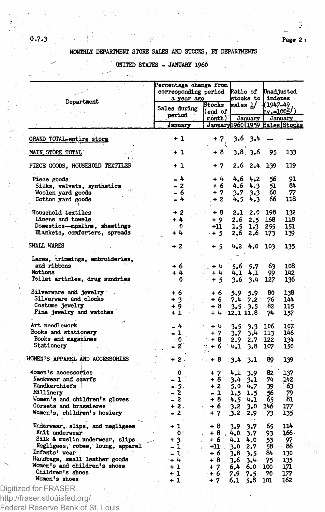ÿ

## **MONTHLY DEPARTMENT STORE SALES AND STOCKS, BY DEPARTMENTS**

## **" UNITED STATES - JANUARY I960**

 $\mathbf{r}$ 

|                                                                | ercentage change from<br>corresponding period [Ratio of<br>a year ago |                          | stocks to                     | Unadjusted<br>indexes             |
|----------------------------------------------------------------|-----------------------------------------------------------------------|--------------------------|-------------------------------|-----------------------------------|
| Department                                                     | Sales during                                                          | Stocks<br>end of)        | sales <u>1</u> /              | 1(1947–49<br>$\texttt{av} = 1002$ |
|                                                                | period ·                                                              | month)                   | January                       | January                           |
|                                                                | January                                                               |                          | January1960 1959 Sales Stocks |                                   |
| GRAND TOTAL-entire store                                       | $+1$                                                                  | $+ .7.$                  | $3.6 \quad 3.4$               |                                   |
| MAIN STORE TOTAL                                               | $+1$                                                                  | + 8                      | 3.8 3.6                       | 95                                |
| PIECE GOODS, HOUSEHOLD TEXTILES                                | + 1                                                                   | + 7                      | 2.62.4                        | 139                               |
| Piece goods                                                    | - 4                                                                   | $+4$                     | 4.2<br>4.6                    | 56                                |
| Silks, velvets, synthetics                                     | - 2                                                                   | + 6                      | 4.6 4.3                       | 51                                |
| Woolen yard goods                                              | - 6                                                                   | $+7$                     | 3.7<br>$3-3$                  | 60                                |
| Cotton yard goods                                              | - 4                                                                   | $+2$                     | 4.5<br>4.3                    | 66                                |
| Household textiles                                             | $+2$                                                                  | + 8                      | 2.1<br>2.0                    | 198                               |
| Linens and towels                                              | + 4                                                                   | $+9$                     | 2.6<br>2.5                    | 168                               |
| Domestics--muslins, sheetings<br>Elankets, comforters, spreads | $\mathbf o$<br>+ 4                                                    | - +11<br>$+5$            | 1.5<br>1.3<br>2,6<br>2.6      | 255<br>173                        |
| SMALL WARES                                                    | $+2$                                                                  | $+5$                     | 4.2<br>4.0                    | 103                               |
| Laces, trimmings, embroideries,                                |                                                                       |                          |                               |                                   |
| and ribbons                                                    | + 6                                                                   | $+4$                     | 5.6<br>5.7                    | 63                                |
| Notions                                                        | + 4                                                                   | $+4$                     | 4,1<br>4.1                    | 99                                |
| Toilet articles, drug sundries                                 | $\mathbf 0$                                                           | $+5$                     | 3.6<br>3.4                    | 127                               |
| Silverware and jewelry                                         | + 6                                                                   | + 6                      | 5.9<br>5.9                    | 80                                |
| Silverware and clocks                                          | + 3                                                                   | + 6                      | 7.4<br>7.2                    | 76                                |
| Costume jewelry                                                | + 9                                                                   | $+8$                     | $3.5 - 3.5$                   | 82                                |
| Fine jewelry and watches                                       | $+1$                                                                  | $+4.$                    | 12.1 11.8                     | 74                                |
| Art needlework                                                 | - 4                                                                   | $+1$                     | 3.5<br>3.3                    | 106                               |
| Books and stationery                                           | - 1                                                                   | $+7$                     | 3.7<br>3.4                    | 113                               |
| Books and magazines                                            | $\mathbf{0}$ .                                                        | $+8$                     | 2.9<br>2.7                    | 122                               |
| Stationery                                                     | -2                                                                    | $4 + 6$<br>$\mathcal{L}$ | 4.1<br>3.8                    | 107                               |
| WOMEN'S APPAREL AND ACCESSORIES                                | $\mathbf{z}$<br>$\sim$ 1                                              | $+8$                     | $-3.4$<br>3.1                 | 89                                |
| Momen's accessories                                            | 0                                                                     | $+7$                     | 4.1<br>3.9                    | 82                                |
| Neckwear and scarfs                                            | 1                                                                     | $+8$                     | 3.4<br>3.1                    | 74                                |
| Handkerchiefs                                                  | - 5.                                                                  | $+2$                     | 5.0<br>4.7                    | 39                                |
| <b>Millinery</b>                                               | - 2                                                                   | - 1                      | 1.5<br>1.5                    | 56                                |
| Women's and children's gloves                                  | - 2                                                                   | $+8$                     | 4.5<br>4.1                    | 65                                |
| Corsets and brassieres                                         | $+2.$                                                                 | + 6                      | 3.2<br>3.0                    | 146                               |
| Women's, children's hosiery                                    | $-2$                                                                  | $+7$                     | 3.2<br>2.9                    | 73                                |
| Underwear, slips, and negligees                                | + 1                                                                   | + 8                      | 3.9<br>3.7                    | 65<br>114                         |
| Krit underwear                                                 | 0.                                                                    | + 8                      | 4.0<br>3.7                    | 166۰<br>93                        |
| Silk & muslin underwear, slips                                 | $+3$                                                                  | + 6                      | 4.1<br>4.0                    | 53                                |
| Negligees, robes, loung, apparel                               | - 1                                                                   | $+11$                    | 2.7<br>3.0                    | … 86<br>58                        |
| Infants' wear                                                  | - 1                                                                   | $+6$                     | 3.8<br>3.5                    | 84<br>130                         |
| Handbags, small leather goods                                  | $+4.$                                                                 | $+8$                     | 3.6<br>3.4                    | 75<br>135                         |
| Womer's and children's shoes                                   | $+1$                                                                  | $+7$                     | 6.0<br>6,4                    | 171<br>100                        |
|                                                                |                                                                       |                          |                               |                                   |
| Children's shoes                                               |                                                                       |                          |                               |                                   |
| Women's shoes                                                  | $+1$<br>$+1$                                                          | + 6<br>$+7$              | 7.9<br>7.5<br>5,8<br>6.1      | 70<br>177<br>162<br>101           |

Federal Reserve Bank of St. Louis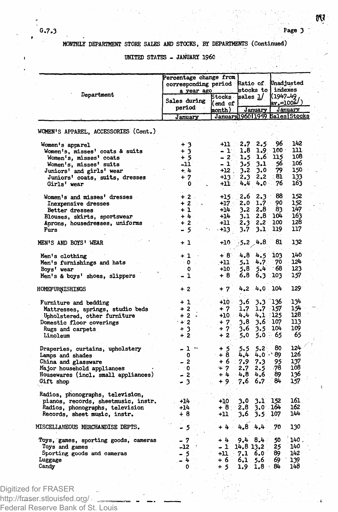## **MONTHLY DEPARTMENT STORE** *SALES* **AND STOCKS, BY DEPARTMENTS (Continued)**

**UNITED STATES - JANUARY I960**

|                                      | Percentage change from<br>corresponding period Ratio of Unadjusted<br><b>Carl Ave</b><br>a year ago |                                          | stocks to indexes |                  |          |      |
|--------------------------------------|-----------------------------------------------------------------------------------------------------|------------------------------------------|-------------------|------------------|----------|------|
| Department                           | Sales during<br>period                                                                              | Stocks sales 1/<br>(end of )             |                   |                  | (1947–49 |      |
|                                      | January                                                                                             | month).<br>January196011959 Sales Stocks |                   | January          | Jánuary  |      |
|                                      |                                                                                                     |                                          |                   |                  |          |      |
| WOMEN'S APPAREL, ACCESSORIES (Cont.) |                                                                                                     |                                          |                   |                  |          |      |
| Women's apparel                      | $+3$                                                                                                | +11                                      | 2.7               | $2.5^{\circ}$    | 96       | 142  |
| Women's, misses' coats & suits       | $+3$                                                                                                | $-1$                                     | 1,8               | 1.9              | $100 -$  | נננ  |
| Women's, misses' coats               | + 5                                                                                                 | $-2o$                                    | 1.5               | 1,6              | 115      | 108  |
| Women's, misses' suits               | $-11$                                                                                               | - 1                                      | 3.5               | 3.1              | 56       | 106  |
| Juniors' and girls' wear             | $+1$                                                                                                | $+12$                                    | 3.2               | 3.0.             | 79.      | 150  |
| Juniors' coats, suits, dresses       | $+7$                                                                                                | +13 -                                    | 2.3               | 2,2              | 81       | 133  |
| Girls' wear                          | 0                                                                                                   | +11 :                                    | 4.4               | $4.0 -$          | 76       | 163  |
| Women's and misses' dresses          | $+.2.$                                                                                              | $+15.$                                   | 2.6               | $2.3 -$          | 88       | 152  |
|                                      | $+2$                                                                                                | $+17 -$                                  | 2.0               | 1.7 <sub>1</sub> | 90       | 152  |
| Inexpensive dresses                  | $+1$                                                                                                |                                          |                   | $3.2 \quad 2.8$  | 83.      | 147  |
| Better dresses                       |                                                                                                     | $+14$                                    |                   |                  |          |      |
| Blouses, skirts, sportswear          | $+4$                                                                                                | +14                                      | 3.1               | $2.8^{\circ}$    | 104      | 163  |
| Aprons, housedresses, uniforms       | $+2$                                                                                                | -11                                      | 2.3               | 2.2              | 100      | 128  |
| Furs                                 | -5<br>-                                                                                             | $-13$                                    | $3.7 -$           | 3.1              | 119 -    | 117  |
| MEN'S AND BOYS' WEAR                 | + 1                                                                                                 | +10                                      | $-5.2 - 4.8$      |                  | 81       | 132  |
| Men's clothing                       | $+1$                                                                                                | - 8`                                     |                   | $4.8$ $4.5$      | 103      | 140  |
| Men's furnishings and hats           | $\cdot$ 0                                                                                           | $+11$                                    | 5.1               | 4.7              | 70       | 124  |
| Boys' wear                           | $\Omega$                                                                                            | +10                                      | 5.8               | 5.4              | 68       | 123  |
| Men's & boys' shoes, slippers        | - 1                                                                                                 | $+8$                                     | 6.8               | 6.3              | 103.     | 157  |
| HOMEFURNISHINGS                      | $+2$                                                                                                | $+7$                                     | 4.2               | 4.0              | 104      | 129  |
| Furniture and bedding                | $+1$                                                                                                | $+10$                                    | 3.6               | 3.3              | `136     | 134  |
| Mattresses, springs, studio beds     | $+2$                                                                                                | + 7                                      | 1.7               | $1.7 \t157$      |          | 154  |
|                                      | $+2$ .                                                                                              | $+10.$                                   | 4.4               | $4.1 - 125$      |          | 128  |
| Upholstered, other furniture         |                                                                                                     |                                          |                   |                  |          |      |
| Domestic floor coverings             | $+2$                                                                                                | $+7.$                                    | 3.8               | 3.6 107          |          | 113  |
| Rugs and carpets                     | $+3$                                                                                                | $+7$                                     | 3.6               | 3.5              | 104      | 109  |
| Linoleum                             | $+2$                                                                                                | $+2$                                     | 5.0               | $5.0 -$          | 65       | 65   |
| Draperies, curtains, upholstery      | $-1 -$                                                                                              | $+5$<br>+ 8                              | 5.5               | $5.2^{\circ}$    | 80       | 124  |
| Lamps and shades                     | $\mathbf 0$                                                                                         |                                          | 4.4               | $4.0 -$          | 89.      | 126  |
| China and glassware                  | $-2$                                                                                                | $+6.7.9$                                 |                   | 7.3              | 95       | 137  |
| Major household appliances           |                                                                                                     | $+7$                                     | $2.7^{\circ}$     | 2.5              | 78       | 108  |
| Housewares (incl. small appliances)  | $\begin{bmatrix} 0 \\ 2 \end{bmatrix}$                                                              | $+4.4.8$                                 |                   | 4.6              | 89       | 136  |
| Gift shop                            | $-3$                                                                                                | $+9.$                                    | 7.6               | 6.7              | 84       | 157  |
| Radios, phonographs, television,     |                                                                                                     |                                          |                   |                  |          |      |
| pianos, records, sheetmusic, instr.  | $+14$                                                                                               | $+10$                                    | 3.0               | 3.1              | 152      | 161  |
| Radios, phonographs, television      | $+14$                                                                                               | +8∴                                      | 2,8               | 3.0 164          |          | 162  |
| Records, sheet music, instr.         | $+8$                                                                                                | $+11$                                    | 3.6               | $3.5^{\circ}$    | 107      | 144  |
| MISCELLANEOUS MERCHANDISE DEPTS.     | - 5                                                                                                 | $+4.$                                    | 4.8 4.4           |                  | 70       | 130  |
| Toys, games, sporting goods, cameras | - 7                                                                                                 | $+4.$                                    | 9.4 B.4           |                  | 50       | 140. |
| Toys and games                       | -12                                                                                                 | - 1                                      | 14.8 13.2         |                  | 25       | 140  |
| Sporting goods and cameras           |                                                                                                     | $+11$ :                                  | $7.1\quad6.0$     |                  | 89.      | 142  |
| Luggage                              | - 5<br>- 4                                                                                          | + 6                                      | 6,1               | .5.6             | 69       | 139  |
|                                      |                                                                                                     |                                          |                   |                  |          |      |
| Candy                                | 0                                                                                                   | + 5                                      | 1.9               | $1.8 \cdot 84$   |          | 148  |

http://fraser.stlouisfed.org/

Federal Reserve Bank of St. Louis